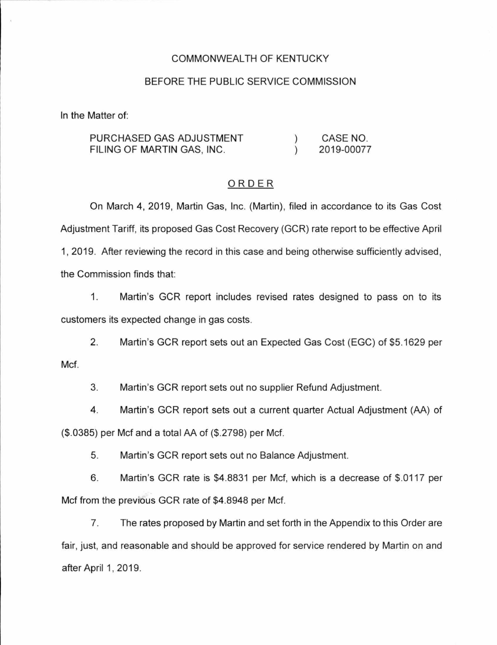#### COMMONWEALTH OF KENTUCKY

#### BEFORE THE PUBLIC SERVICE COMMISSION

In the Matter of:

PURCHASED GAS ADJUSTMENT FILING OF MARTIN GAS, INC.  $\lambda$ ) CASE NO. 2019-00077

### ORDER

On March 4, 2019, Martin Gas, Inc. (Martin), filed in accordance to its Gas Cost Adjustment Tariff, its proposed Gas Cost Recovery (GCR) rate report to be effective April 1, 2019. After reviewing the record in this case and being otherwise sufficiently advised , the Commission finds that:

1. Martin's GCR report includes revised rates designed to pass on to its customers its expected change in gas costs.

2. Martin's GCR report sets out an Expected Gas Cost (EGC) of \$5.1629 per

Met.

3. Martin's GCR report sets out no supplier Refund Adjustment.

4. Martin's GCR report sets out a current quarter Actual Adjustment (AA) of (\$.0385) per Met and a total AA of (\$.2798) per Met.

5. Martin's GCR report sets out no Balance Adjustment.

6. Martin's GCR rate is \$4.8831 per Met, which is a decrease of \$.0117 per Met from the previous GCR rate of \$4.8948 per Met.

7. The rates proposed by Martin and set forth in the Appendix to this Order are fair, just, and reasonable and should be approved for service rendered by Martin on and after April 1, 2019.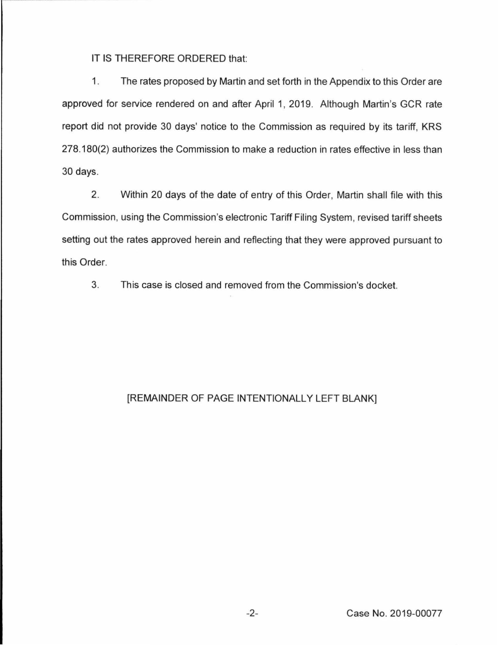IT IS THEREFORE ORDERED that:

1. The rates proposed by Martin and set forth in the Appendix to this Order are approved for service rendered on and after April 1, 2019. Although Martin's GCR rate report did not provide 30 days' notice to the Commission as required by its tariff, KRS 278.180(2) authorizes the Commission to make a reduction in rates effective in less than 30 days.

2. Within 20 days of the date of entry of this Order, Martin shall file with this Commission, using the Commission's electronic Tariff Filing System, revised tariff sheets setting out the rates approved herein and reflecting that they were approved pursuant to this Order.

3. This case is closed and removed from the Commission's docket.

## [REMAINDER OF PAGE INTENTIONALLY LEFT BLANK]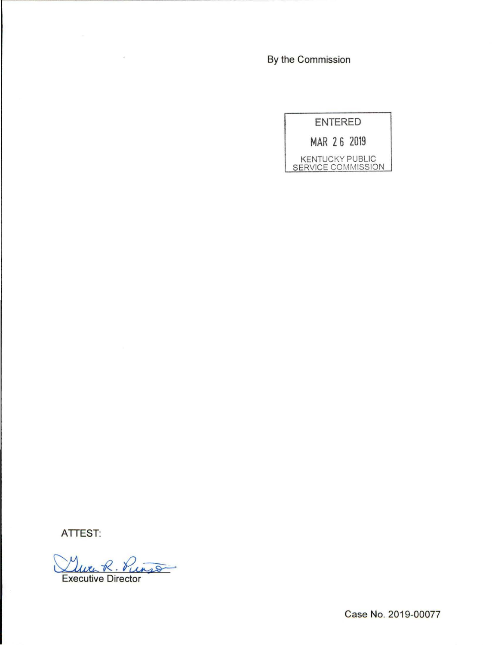By the Commission



**ATTEST:** 

Vurso **Executive Director** 

 $\sim 10$ 

Case No. 2019-00077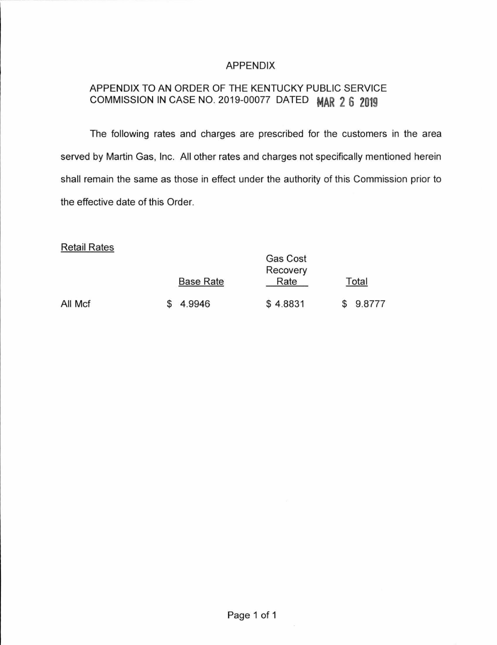## APPENDIX

# APPENDIX TO AN ORDER OF THE KENTUCKY PUBLIC SERVICE COMMISSION IN CASE NO. 2019-00077 DATED **MAR 2 6 2019**

The following rates and charges are prescribed for the customers in the area served by Martin Gas, Inc. All other rates and charges not specifically mentioned herein shall remain the same as those in effect under the authority of this Commission prior to the effective date of this Order.

 $\sim$   $\sim$ 

### Retail Rates

|         | <b>Base Rate</b> | Gas Cost<br>Recovery<br>Rate | Total  |
|---------|------------------|------------------------------|--------|
| All Mcf | 4.9946           | \$4.8831                     | 9.8777 |